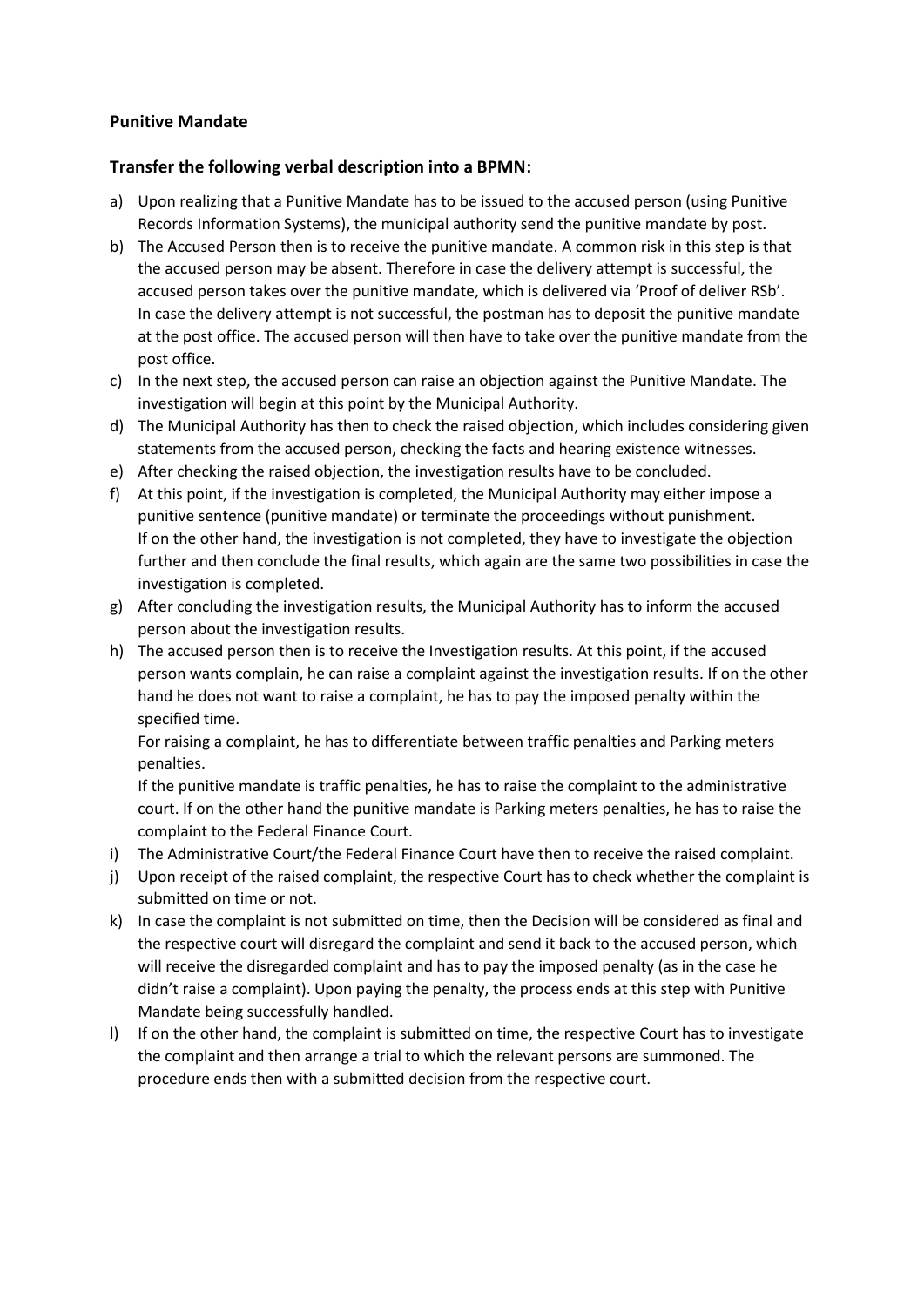## **Punitive Mandate**

## **Transfer the following verbal description into a BPMN:**

- a) Upon realizing that a Punitive Mandate has to be issued to the accused person (using Punitive Records Information Systems), the municipal authority send the punitive mandate by post.
- b) The Accused Person then is to receive the punitive mandate. A common risk in this step is that the accused person may be absent. Therefore in case the delivery attempt is successful, the accused person takes over the punitive mandate, which is delivered via 'Proof of deliver RSb'. In case the delivery attempt is not successful, the postman has to deposit the punitive mandate at the post office. The accused person will then have to take over the punitive mandate from the post office.
- c) In the next step, the accused person can raise an objection against the Punitive Mandate. The investigation will begin at this point by the Municipal Authority.
- d) The Municipal Authority has then to check the raised objection, which includes considering given statements from the accused person, checking the facts and hearing existence witnesses.
- e) After checking the raised objection, the investigation results have to be concluded.
- f) At this point, if the investigation is completed, the Municipal Authority may either impose a punitive sentence (punitive mandate) or terminate the proceedings without punishment. If on the other hand, the investigation is not completed, they have to investigate the objection further and then conclude the final results, which again are the same two possibilities in case the investigation is completed.
- g) After concluding the investigation results, the Municipal Authority has to inform the accused person about the investigation results.
- h) The accused person then is to receive the Investigation results. At this point, if the accused person wants complain, he can raise a complaint against the investigation results. If on the other hand he does not want to raise a complaint, he has to pay the imposed penalty within the specified time.

For raising a complaint, he has to differentiate between traffic penalties and Parking meters penalties.

If the punitive mandate is traffic penalties, he has to raise the complaint to the administrative court. If on the other hand the punitive mandate is Parking meters penalties, he has to raise the complaint to the Federal Finance Court.

- i) The Administrative Court/the Federal Finance Court have then to receive the raised complaint.
- j) Upon receipt of the raised complaint, the respective Court has to check whether the complaint is submitted on time or not.
- k) In case the complaint is not submitted on time, then the Decision will be considered as final and the respective court will disregard the complaint and send it back to the accused person, which will receive the disregarded complaint and has to pay the imposed penalty (as in the case he didn't raise a complaint). Upon paying the penalty, the process ends at this step with Punitive Mandate being successfully handled.
- l) If on the other hand, the complaint is submitted on time, the respective Court has to investigate the complaint and then arrange a trial to which the relevant persons are summoned. The procedure ends then with a submitted decision from the respective court.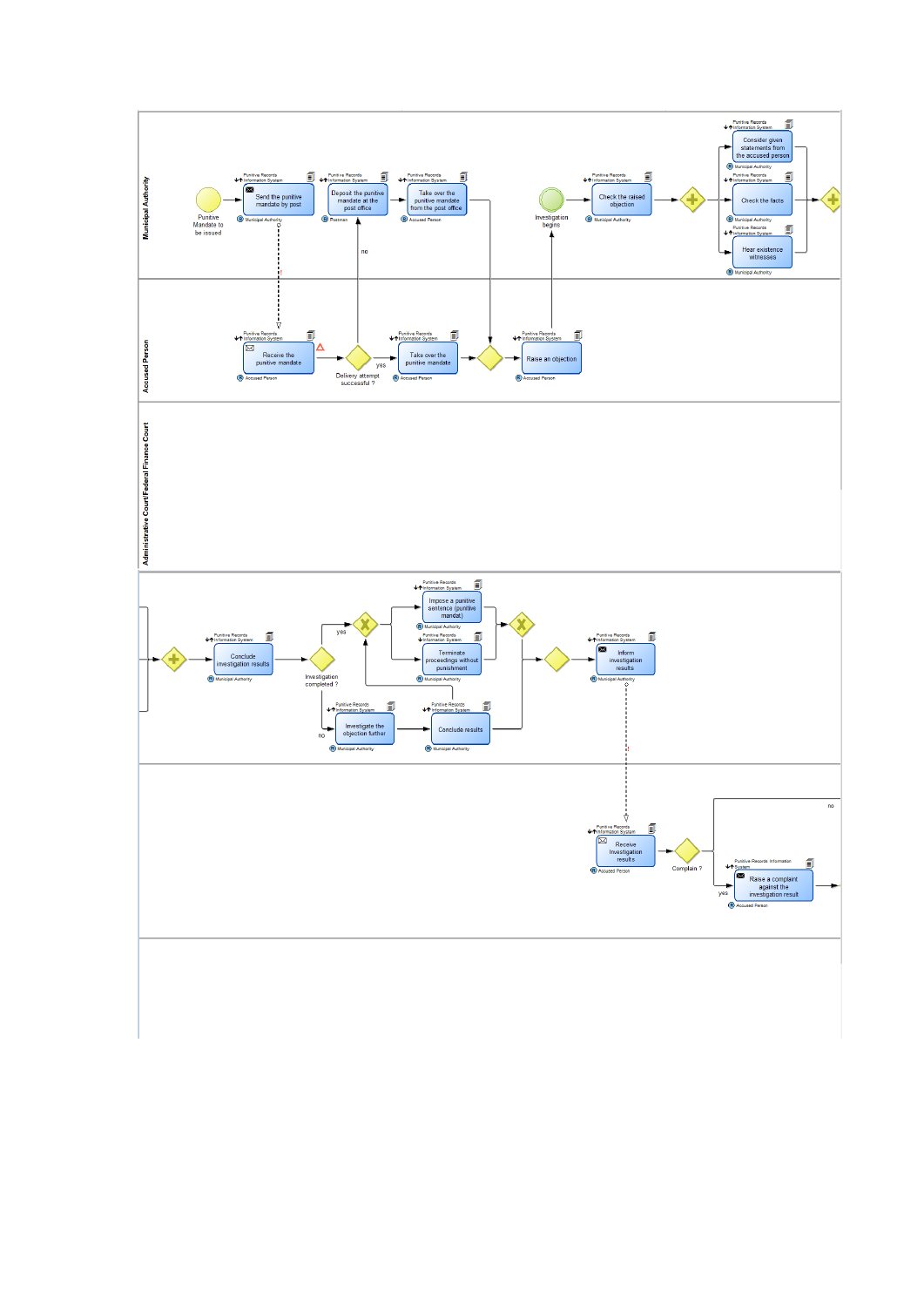